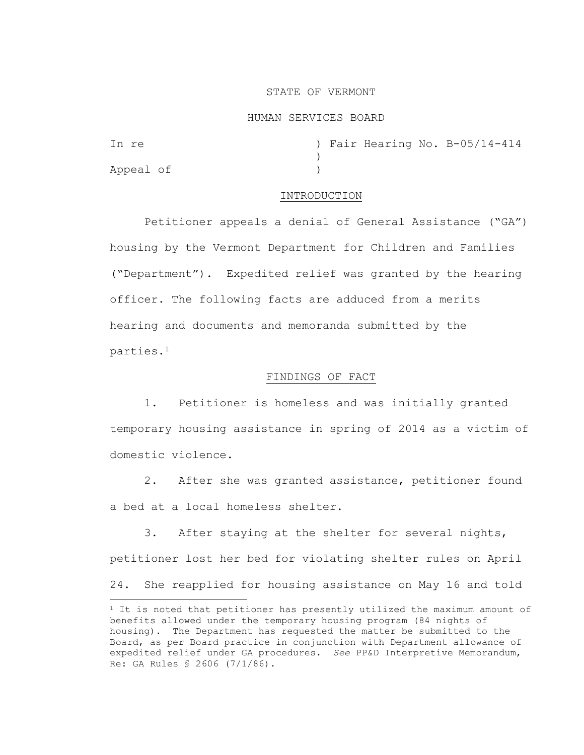### STATE OF VERMONT

#### HUMAN SERVICES BOARD

| In re     |  |  | ) Fair Hearing No. B-05/14-414 |
|-----------|--|--|--------------------------------|
|           |  |  |                                |
| Appeal of |  |  |                                |

### INTRODUCTION

Petitioner appeals a denial of General Assistance ("GA") housing by the Vermont Department for Children and Families ("Department"). Expedited relief was granted by the hearing officer. The following facts are adduced from a merits hearing and documents and memoranda submitted by the parties.<sup>1</sup>

# FINDINGS OF FACT

1. Petitioner is homeless and was initially granted temporary housing assistance in spring of 2014 as a victim of domestic violence.

2. After she was granted assistance, petitioner found a bed at a local homeless shelter.

3. After staying at the shelter for several nights, petitioner lost her bed for violating shelter rules on April 24. She reapplied for housing assistance on May 16 and told

<sup>&</sup>lt;sup>1</sup> It is noted that petitioner has presently utilized the maximum amount of benefits allowed under the temporary housing program (84 nights of housing). The Department has requested the matter be submitted to the Board, as per Board practice in conjunction with Department allowance of expedited relief under GA procedures. *See* PP&D Interpretive Memorandum, Re: GA Rules § 2606 (7/1/86).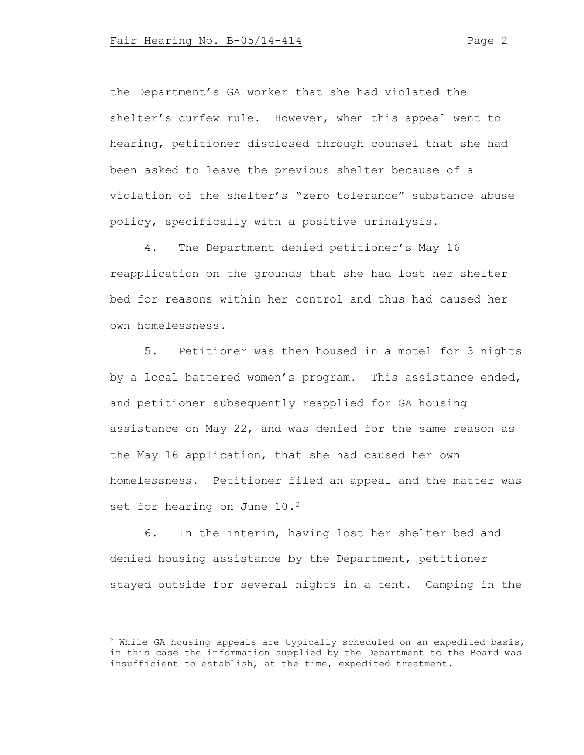the Department's GA worker that she had violated the shelter's curfew rule. However, when this appeal went to hearing, petitioner disclosed through counsel that she had been asked to leave the previous shelter because of a violation of the shelter's "zero tolerance" substance abuse policy, specifically with a positive urinalysis.

4. The Department denied petitioner's May 16 reapplication on the grounds that she had lost her shelter bed for reasons within her control and thus had caused her own homelessness.

5. Petitioner was then housed in a motel for 3 nights by a local battered women's program. This assistance ended, and petitioner subsequently reapplied for GA housing assistance on May 22, and was denied for the same reason as the May 16 application, that she had caused her own homelessness. Petitioner filed an appeal and the matter was set for hearing on June 10.<sup>2</sup>

6. In the interim, having lost her shelter bed and denied housing assistance by the Department, petitioner stayed outside for several nights in a tent. Camping in the

 $2$  While GA housing appeals are typically scheduled on an expedited basis, in this case the information supplied by the Department to the Board was insufficient to establish, at the time, expedited treatment.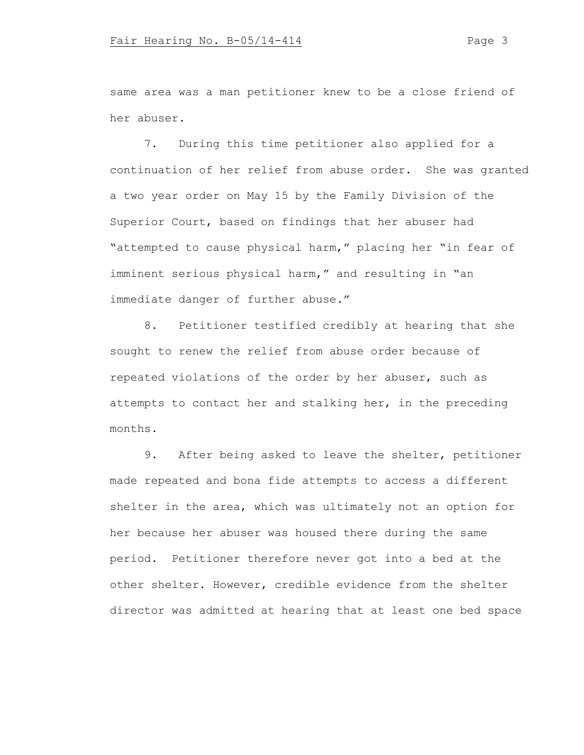same area was a man petitioner knew to be a close friend of her abuser.

7. During this time petitioner also applied for a continuation of her relief from abuse order. She was granted a two year order on May 15 by the Family Division of the Superior Court, based on findings that her abuser had "attempted to cause physical harm," placing her "in fear of imminent serious physical harm," and resulting in "an immediate danger of further abuse."

8. Petitioner testified credibly at hearing that she sought to renew the relief from abuse order because of repeated violations of the order by her abuser, such as attempts to contact her and stalking her, in the preceding months.

9. After being asked to leave the shelter, petitioner made repeated and bona fide attempts to access a different shelter in the area, which was ultimately not an option for her because her abuser was housed there during the same period. Petitioner therefore never got into a bed at the other shelter. However, credible evidence from the shelter director was admitted at hearing that at least one bed space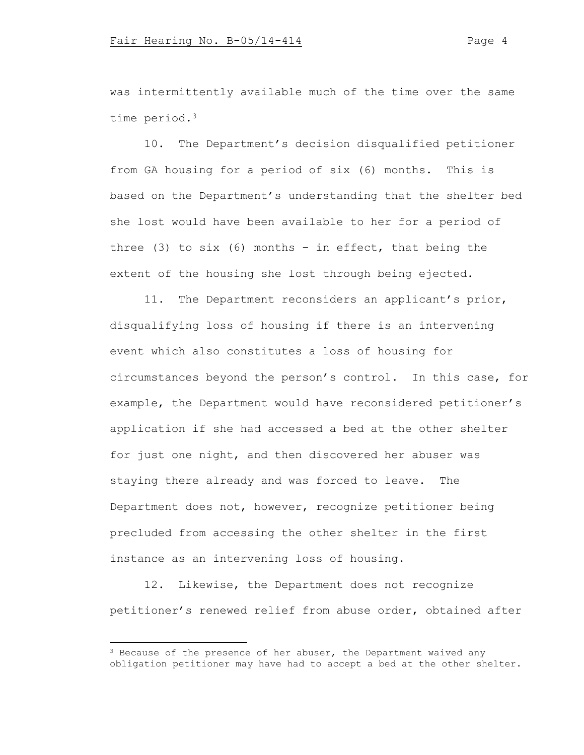was intermittently available much of the time over the same time period.<sup>3</sup>

10. The Department's decision disqualified petitioner from GA housing for a period of six (6) months. This is based on the Department's understanding that the shelter bed she lost would have been available to her for a period of three (3) to six (6) months - in effect, that being the extent of the housing she lost through being ejected.

11. The Department reconsiders an applicant's prior, disqualifying loss of housing if there is an intervening event which also constitutes a loss of housing for circumstances beyond the person's control. In this case, for example, the Department would have reconsidered petitioner's application if she had accessed a bed at the other shelter for just one night, and then discovered her abuser was staying there already and was forced to leave. The Department does not, however, recognize petitioner being precluded from accessing the other shelter in the first instance as an intervening loss of housing.

12. Likewise, the Department does not recognize petitioner's renewed relief from abuse order, obtained after

 $3$  Because of the presence of her abuser, the Department waived any obligation petitioner may have had to accept a bed at the other shelter.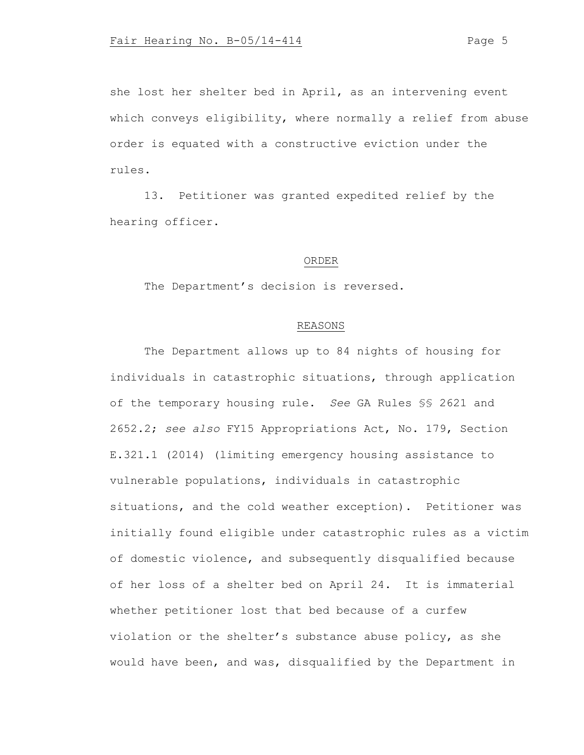she lost her shelter bed in April, as an intervening event which conveys eligibility, where normally a relief from abuse order is equated with a constructive eviction under the rules.

13. Petitioner was granted expedited relief by the hearing officer.

#### ORDER

The Department's decision is reversed.

# REASONS

The Department allows up to 84 nights of housing for individuals in catastrophic situations, through application of the temporary housing rule. *See* GA Rules §§ 2621 and 2652.2; *see also* FY15 Appropriations Act, No. 179, Section E.321.1 (2014) (limiting emergency housing assistance to vulnerable populations, individuals in catastrophic situations, and the cold weather exception). Petitioner was initially found eligible under catastrophic rules as a victim of domestic violence, and subsequently disqualified because of her loss of a shelter bed on April 24. It is immaterial whether petitioner lost that bed because of a curfew violation or the shelter's substance abuse policy, as she would have been, and was, disqualified by the Department in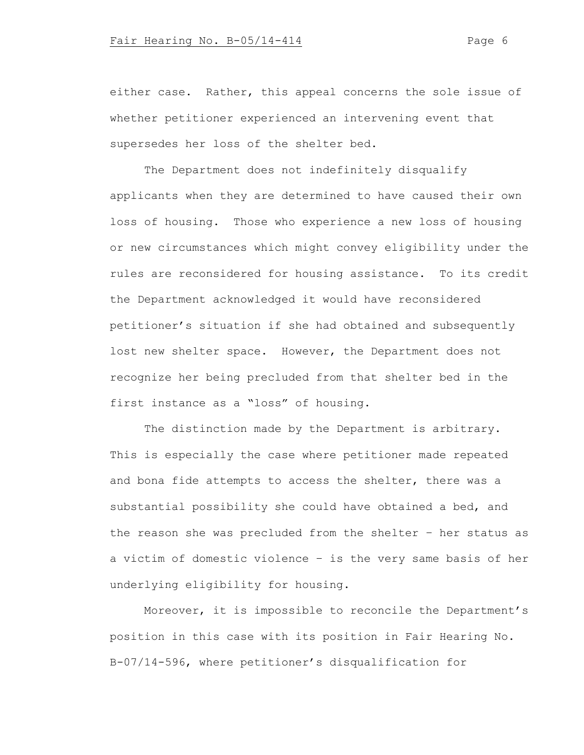either case. Rather, this appeal concerns the sole issue of whether petitioner experienced an intervening event that supersedes her loss of the shelter bed.

The Department does not indefinitely disqualify applicants when they are determined to have caused their own loss of housing. Those who experience a new loss of housing or new circumstances which might convey eligibility under the rules are reconsidered for housing assistance. To its credit the Department acknowledged it would have reconsidered petitioner's situation if she had obtained and subsequently lost new shelter space. However, the Department does not recognize her being precluded from that shelter bed in the first instance as a "loss" of housing.

The distinction made by the Department is arbitrary. This is especially the case where petitioner made repeated and bona fide attempts to access the shelter, there was a substantial possibility she could have obtained a bed, and the reason she was precluded from the shelter – her status as a victim of domestic violence – is the very same basis of her underlying eligibility for housing.

Moreover, it is impossible to reconcile the Department's position in this case with its position in Fair Hearing No. B-07/14-596, where petitioner's disqualification for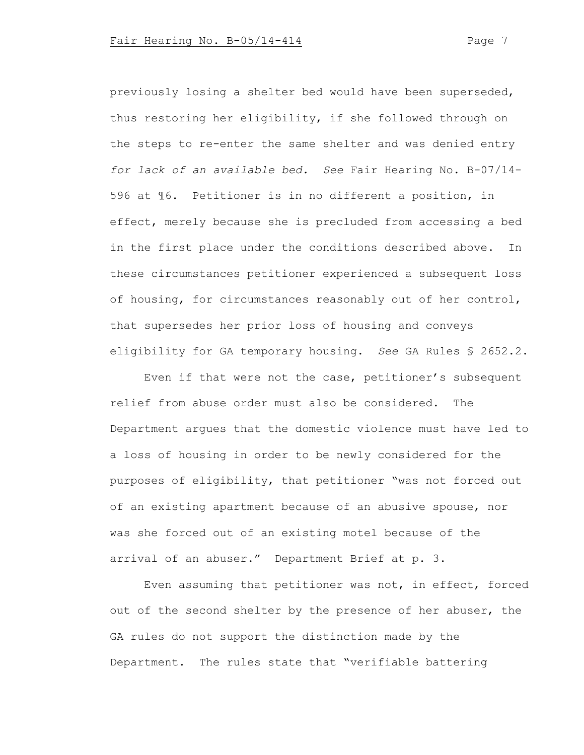previously losing a shelter bed would have been superseded, thus restoring her eligibility, if she followed through on the steps to re-enter the same shelter and was denied entry *for lack of an available bed. See* Fair Hearing No. B-07/14- 596 at ¶6. Petitioner is in no different a position, in effect, merely because she is precluded from accessing a bed in the first place under the conditions described above. In these circumstances petitioner experienced a subsequent loss of housing, for circumstances reasonably out of her control, that supersedes her prior loss of housing and conveys eligibility for GA temporary housing. *See* GA Rules § 2652.2.

Even if that were not the case, petitioner's subsequent relief from abuse order must also be considered. The Department argues that the domestic violence must have led to a loss of housing in order to be newly considered for the purposes of eligibility, that petitioner "was not forced out of an existing apartment because of an abusive spouse, nor was she forced out of an existing motel because of the arrival of an abuser." Department Brief at p. 3.

Even assuming that petitioner was not, in effect, forced out of the second shelter by the presence of her abuser, the GA rules do not support the distinction made by the Department. The rules state that "verifiable battering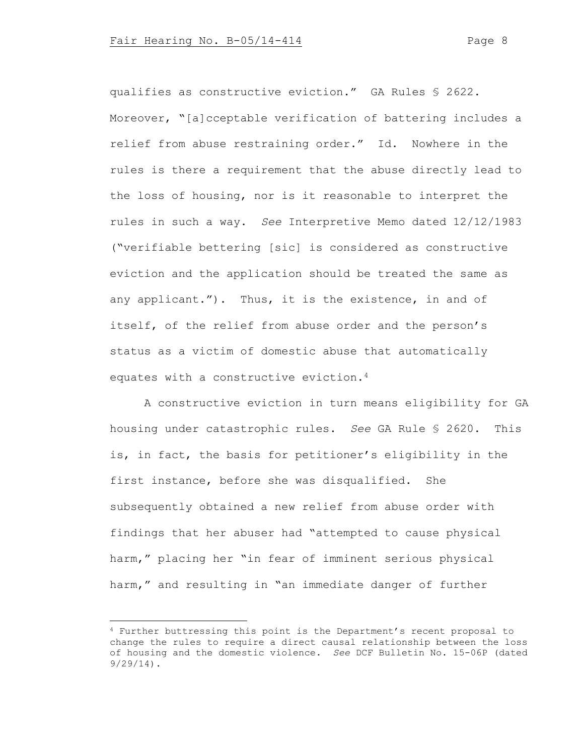qualifies as constructive eviction." GA Rules § 2622. Moreover, "[a]cceptable verification of battering includes a relief from abuse restraining order." Id. Nowhere in the rules is there a requirement that the abuse directly lead to the loss of housing, nor is it reasonable to interpret the rules in such a way. *See* Interpretive Memo dated 12/12/1983 ("verifiable bettering [sic] is considered as constructive eviction and the application should be treated the same as any applicant."). Thus, it is the existence, in and of itself, of the relief from abuse order and the person's status as a victim of domestic abuse that automatically equates with a constructive eviction.<sup>4</sup>

A constructive eviction in turn means eligibility for GA housing under catastrophic rules. *See* GA Rule § 2620. This is, in fact, the basis for petitioner's eligibility in the first instance, before she was disqualified. She subsequently obtained a new relief from abuse order with findings that her abuser had "attempted to cause physical harm," placing her "in fear of imminent serious physical harm," and resulting in "an immediate danger of further

<sup>4</sup> Further buttressing this point is the Department's recent proposal to change the rules to require a direct causal relationship between the loss of housing and the domestic violence. *See* DCF Bulletin No. 15-06P (dated 9/29/14).